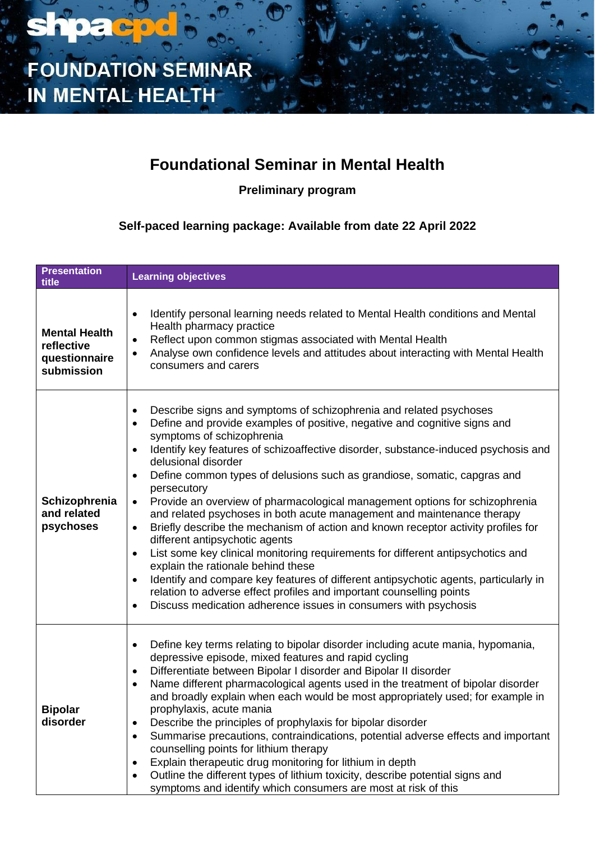

### **Foundational Seminar in Mental Health**

**Preliminary program**

**Self-paced learning package: Available from date 22 April 2022**

| <b>Presentation</b><br>title                                      | <b>Learning objectives</b>                                                                                                                                                                                                                                                                                                                                                                                                                                                                                                                                                                                                                                                                                                                                                                                                                                                                                                                                                                                                                                                                                                                    |
|-------------------------------------------------------------------|-----------------------------------------------------------------------------------------------------------------------------------------------------------------------------------------------------------------------------------------------------------------------------------------------------------------------------------------------------------------------------------------------------------------------------------------------------------------------------------------------------------------------------------------------------------------------------------------------------------------------------------------------------------------------------------------------------------------------------------------------------------------------------------------------------------------------------------------------------------------------------------------------------------------------------------------------------------------------------------------------------------------------------------------------------------------------------------------------------------------------------------------------|
| <b>Mental Health</b><br>reflective<br>questionnaire<br>submission | Identify personal learning needs related to Mental Health conditions and Mental<br>$\bullet$<br>Health pharmacy practice<br>Reflect upon common stigmas associated with Mental Health<br>$\bullet$<br>Analyse own confidence levels and attitudes about interacting with Mental Health<br>$\bullet$<br>consumers and carers                                                                                                                                                                                                                                                                                                                                                                                                                                                                                                                                                                                                                                                                                                                                                                                                                   |
| Schizophrenia<br>and related<br>psychoses                         | Describe signs and symptoms of schizophrenia and related psychoses<br>٠<br>Define and provide examples of positive, negative and cognitive signs and<br>$\bullet$<br>symptoms of schizophrenia<br>Identify key features of schizoaffective disorder, substance-induced psychosis and<br>$\bullet$<br>delusional disorder<br>Define common types of delusions such as grandiose, somatic, capgras and<br>$\bullet$<br>persecutory<br>Provide an overview of pharmacological management options for schizophrenia<br>$\bullet$<br>and related psychoses in both acute management and maintenance therapy<br>Briefly describe the mechanism of action and known receptor activity profiles for<br>$\bullet$<br>different antipsychotic agents<br>List some key clinical monitoring requirements for different antipsychotics and<br>$\bullet$<br>explain the rationale behind these<br>Identify and compare key features of different antipsychotic agents, particularly in<br>$\bullet$<br>relation to adverse effect profiles and important counselling points<br>Discuss medication adherence issues in consumers with psychosis<br>$\bullet$ |
| <b>Bipolar</b><br>disorder                                        | Define key terms relating to bipolar disorder including acute mania, hypomania,<br>$\bullet$<br>depressive episode, mixed features and rapid cycling<br>Differentiate between Bipolar I disorder and Bipolar II disorder<br>$\bullet$<br>Name different pharmacological agents used in the treatment of bipolar disorder<br>$\bullet$<br>and broadly explain when each would be most appropriately used; for example in<br>prophylaxis, acute mania<br>Describe the principles of prophylaxis for bipolar disorder<br>Summarise precautions, contraindications, potential adverse effects and important<br>$\bullet$<br>counselling points for lithium therapy<br>Explain therapeutic drug monitoring for lithium in depth<br>Outline the different types of lithium toxicity, describe potential signs and<br>symptoms and identify which consumers are most at risk of this                                                                                                                                                                                                                                                                 |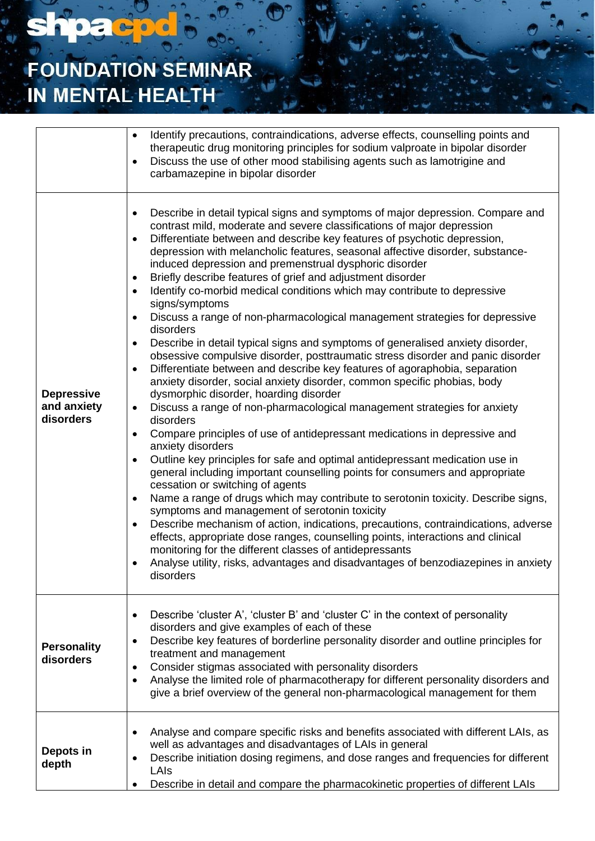# **FOUNDATION SEMINAR** IN MENTAL HEALTH

**shpacpd** 

|                                               | Identify precautions, contraindications, adverse effects, counselling points and<br>$\bullet$<br>therapeutic drug monitoring principles for sodium valproate in bipolar disorder<br>Discuss the use of other mood stabilising agents such as lamotrigine and<br>$\bullet$<br>carbamazepine in bipolar disorder                                                                                                                                                                                                                                                                                                                                                                                                                                                                                                                                                                                                                                                                                                                                                                                                                                                                                                                                                                                                                                                                                                                                                                                                                                                                                                                                                                                                                                                                                                                                                                                                                                                                                                                                                        |
|-----------------------------------------------|-----------------------------------------------------------------------------------------------------------------------------------------------------------------------------------------------------------------------------------------------------------------------------------------------------------------------------------------------------------------------------------------------------------------------------------------------------------------------------------------------------------------------------------------------------------------------------------------------------------------------------------------------------------------------------------------------------------------------------------------------------------------------------------------------------------------------------------------------------------------------------------------------------------------------------------------------------------------------------------------------------------------------------------------------------------------------------------------------------------------------------------------------------------------------------------------------------------------------------------------------------------------------------------------------------------------------------------------------------------------------------------------------------------------------------------------------------------------------------------------------------------------------------------------------------------------------------------------------------------------------------------------------------------------------------------------------------------------------------------------------------------------------------------------------------------------------------------------------------------------------------------------------------------------------------------------------------------------------------------------------------------------------------------------------------------------------|
| <b>Depressive</b><br>and anxiety<br>disorders | Describe in detail typical signs and symptoms of major depression. Compare and<br>$\bullet$<br>contrast mild, moderate and severe classifications of major depression<br>Differentiate between and describe key features of psychotic depression,<br>$\bullet$<br>depression with melancholic features, seasonal affective disorder, substance-<br>induced depression and premenstrual dysphoric disorder<br>Briefly describe features of grief and adjustment disorder<br>$\bullet$<br>Identify co-morbid medical conditions which may contribute to depressive<br>$\bullet$<br>signs/symptoms<br>Discuss a range of non-pharmacological management strategies for depressive<br>$\bullet$<br>disorders<br>Describe in detail typical signs and symptoms of generalised anxiety disorder,<br>$\bullet$<br>obsessive compulsive disorder, posttraumatic stress disorder and panic disorder<br>Differentiate between and describe key features of agoraphobia, separation<br>$\bullet$<br>anxiety disorder, social anxiety disorder, common specific phobias, body<br>dysmorphic disorder, hoarding disorder<br>Discuss a range of non-pharmacological management strategies for anxiety<br>$\bullet$<br>disorders<br>Compare principles of use of antidepressant medications in depressive and<br>$\bullet$<br>anxiety disorders<br>Outline key principles for safe and optimal antidepressant medication use in<br>$\bullet$<br>general including important counselling points for consumers and appropriate<br>cessation or switching of agents<br>Name a range of drugs which may contribute to serotonin toxicity. Describe signs,<br>$\bullet$<br>symptoms and management of serotonin toxicity<br>Describe mechanism of action, indications, precautions, contraindications, adverse<br>$\bullet$<br>effects, appropriate dose ranges, counselling points, interactions and clinical<br>monitoring for the different classes of antidepressants<br>Analyse utility, risks, advantages and disadvantages of benzodiazepines in anxiety<br>$\bullet$<br>disorders |
| <b>Personality</b><br>disorders               | Describe 'cluster A', 'cluster B' and 'cluster C' in the context of personality<br>$\bullet$<br>disorders and give examples of each of these<br>Describe key features of borderline personality disorder and outline principles for<br>$\bullet$<br>treatment and management<br>Consider stigmas associated with personality disorders<br>$\bullet$<br>Analyse the limited role of pharmacotherapy for different personality disorders and<br>$\bullet$<br>give a brief overview of the general non-pharmacological management for them                                                                                                                                                                                                                                                                                                                                                                                                                                                                                                                                                                                                                                                                                                                                                                                                                                                                                                                                                                                                                                                                                                                                                                                                                                                                                                                                                                                                                                                                                                                               |
| Depots in<br>depth                            | Analyse and compare specific risks and benefits associated with different LAIs, as<br>٠<br>well as advantages and disadvantages of LAIs in general<br>Describe initiation dosing regimens, and dose ranges and frequencies for different<br>$\bullet$<br>LAIs<br>Describe in detail and compare the pharmacokinetic properties of different LAIs<br>$\bullet$                                                                                                                                                                                                                                                                                                                                                                                                                                                                                                                                                                                                                                                                                                                                                                                                                                                                                                                                                                                                                                                                                                                                                                                                                                                                                                                                                                                                                                                                                                                                                                                                                                                                                                         |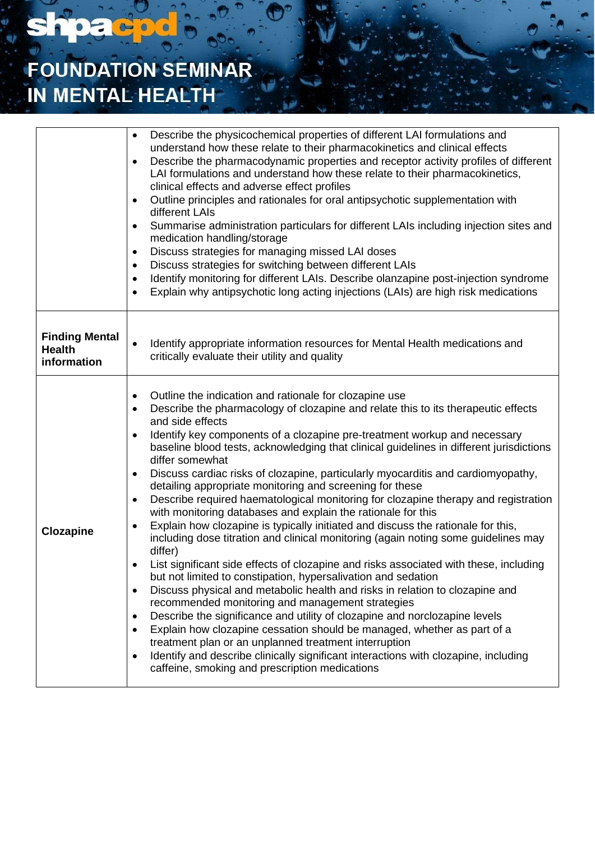# **FOUNDATION SEMINAR** IN MENTAL HEALTH

**shpacpd** 

|                                                       | Describe the physicochemical properties of different LAI formulations and<br>$\bullet$<br>understand how these relate to their pharmacokinetics and clinical effects<br>Describe the pharmacodynamic properties and receptor activity profiles of different<br>LAI formulations and understand how these relate to their pharmacokinetics,<br>clinical effects and adverse effect profiles<br>Outline principles and rationales for oral antipsychotic supplementation with<br>٠<br>different LAIs<br>Summarise administration particulars for different LAIs including injection sites and<br>$\bullet$<br>medication handling/storage<br>Discuss strategies for managing missed LAI doses<br>$\bullet$<br>Discuss strategies for switching between different LAIs<br>٠<br>Identify monitoring for different LAIs. Describe olanzapine post-injection syndrome<br>٠<br>Explain why antipsychotic long acting injections (LAIs) are high risk medications<br>$\bullet$                                                                                                                                                                                                                                                                                                                                                                                                                                                                                                                                                                                              |
|-------------------------------------------------------|---------------------------------------------------------------------------------------------------------------------------------------------------------------------------------------------------------------------------------------------------------------------------------------------------------------------------------------------------------------------------------------------------------------------------------------------------------------------------------------------------------------------------------------------------------------------------------------------------------------------------------------------------------------------------------------------------------------------------------------------------------------------------------------------------------------------------------------------------------------------------------------------------------------------------------------------------------------------------------------------------------------------------------------------------------------------------------------------------------------------------------------------------------------------------------------------------------------------------------------------------------------------------------------------------------------------------------------------------------------------------------------------------------------------------------------------------------------------------------------------------------------------------------------------------------------------|
| <b>Finding Mental</b><br><b>Health</b><br>information | Identify appropriate information resources for Mental Health medications and<br>$\bullet$<br>critically evaluate their utility and quality                                                                                                                                                                                                                                                                                                                                                                                                                                                                                                                                                                                                                                                                                                                                                                                                                                                                                                                                                                                                                                                                                                                                                                                                                                                                                                                                                                                                                          |
| <b>Clozapine</b>                                      | Outline the indication and rationale for clozapine use<br>٠<br>Describe the pharmacology of clozapine and relate this to its therapeutic effects<br>and side effects<br>Identify key components of a clozapine pre-treatment workup and necessary<br>$\bullet$<br>baseline blood tests, acknowledging that clinical guidelines in different jurisdictions<br>differ somewhat<br>Discuss cardiac risks of clozapine, particularly myocarditis and cardiomyopathy,<br>٠<br>detailing appropriate monitoring and screening for these<br>Describe required haematological monitoring for clozapine therapy and registration<br>٠<br>with monitoring databases and explain the rationale for this<br>Explain how clozapine is typically initiated and discuss the rationale for this,<br>٠<br>including dose titration and clinical monitoring (again noting some guidelines may<br>differ)<br>List significant side effects of clozapine and risks associated with these, including<br>but not limited to constipation, hypersalivation and sedation<br>Discuss physical and metabolic health and risks in relation to clozapine and<br>٠<br>recommended monitoring and management strategies<br>Describe the significance and utility of clozapine and norclozapine levels<br>٠<br>Explain how clozapine cessation should be managed, whether as part of a<br>٠<br>treatment plan or an unplanned treatment interruption<br>Identify and describe clinically significant interactions with clozapine, including<br>٠<br>caffeine, smoking and prescription medications |